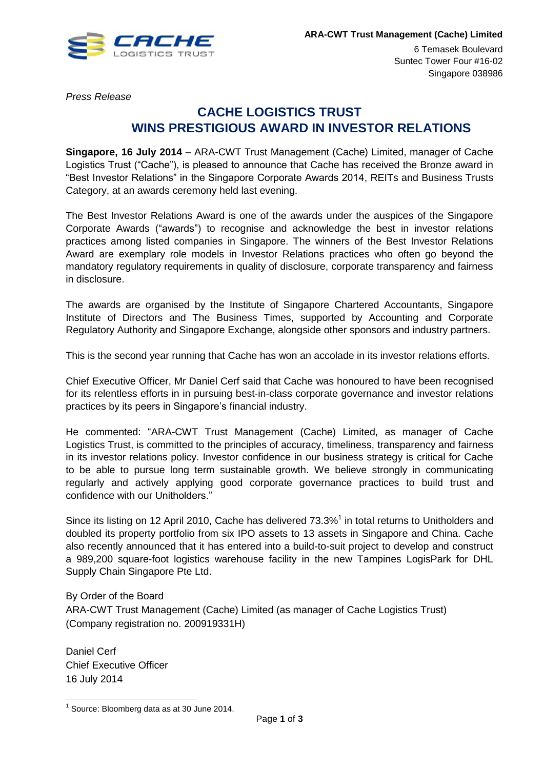

6 Temasek Boulevard Suntec Tower Four #16-02 Singapore 038986

*Press Release* 

# **CACHE LOGISTICS TRUST WINS PRESTIGIOUS AWARD IN INVESTOR RELATIONS**

**Singapore, 16 July 2014** – ARA-CWT Trust Management (Cache) Limited, manager of Cache Logistics Trust ("Cache"), is pleased to announce that Cache has received the Bronze award in "Best Investor Relations" in the Singapore Corporate Awards 2014, REITs and Business Trusts Category, at an awards ceremony held last evening.

The Best Investor Relations Award is one of the awards under the auspices of the Singapore Corporate Awards ("awards") to recognise and acknowledge the best in investor relations practices among listed companies in Singapore. The winners of the Best Investor Relations Award are exemplary role models in Investor Relations practices who often go beyond the mandatory regulatory requirements in quality of disclosure, corporate transparency and fairness in disclosure.

The awards are organised by the Institute of Singapore Chartered Accountants, Singapore Institute of Directors and The Business Times, supported by Accounting and Corporate Regulatory Authority and Singapore Exchange, alongside other sponsors and industry partners.

This is the second year running that Cache has won an accolade in its investor relations efforts.

Chief Executive Officer, Mr Daniel Cerf said that Cache was honoured to have been recognised for its relentless efforts in in pursuing best-in-class corporate governance and investor relations practices by its peers in Singapore's financial industry.

He commented: "ARA-CWT Trust Management (Cache) Limited, as manager of Cache Logistics Trust, is committed to the principles of accuracy, timeliness, transparency and fairness in its investor relations policy. Investor confidence in our business strategy is critical for Cache to be able to pursue long term sustainable growth. We believe strongly in communicating regularly and actively applying good corporate governance practices to build trust and confidence with our Unitholders."

Since its listing on 12 April 2010, Cache has delivered  $73.3\%$ <sup>1</sup> in total returns to Unitholders and doubled its property portfolio from six IPO assets to 13 assets in Singapore and China. Cache also recently announced that it has entered into a build-to-suit project to develop and construct a 989,200 square-foot logistics warehouse facility in the new Tampines LogisPark for DHL Supply Chain Singapore Pte Ltd.

By Order of the Board ARA-CWT Trust Management (Cache) Limited (as manager of Cache Logistics Trust) (Company registration no. 200919331H)

Daniel Cerf Chief Executive Officer 16 July 2014

 $\overline{a}$ 

 $<sup>1</sup>$  Source: Bloomberg data as at 30 June 2014.</sup>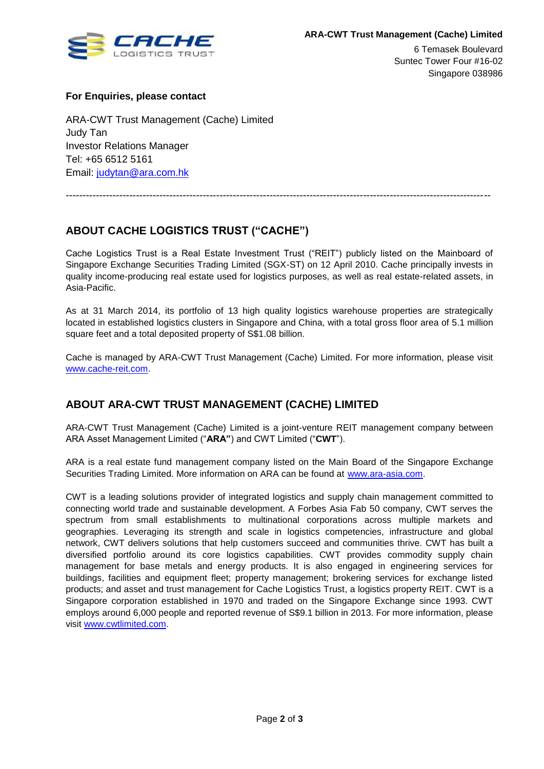

6 Temasek Boulevard Suntec Tower Four #16-02 Singapore 038986

#### **For Enquiries, please contact**

ARA-CWT Trust Management (Cache) Limited Judy Tan Investor Relations Manager Tel: +65 6512 5161 Email: [judytan@ara.com.hk](mailto:judytan@ara.com.hk)

## **ABOUT CACHE LOGISTICS TRUST ("CACHE")**

Cache Logistics Trust is a Real Estate Investment Trust ("REIT") publicly listed on the Mainboard of Singapore Exchange Securities Trading Limited (SGX-ST) on 12 April 2010. Cache principally invests in quality income-producing real estate used for logistics purposes, as well as real estate-related assets, in Asia-Pacific.

-------------------------------------------------------------------------------------------------------------------------------

As at 31 March 2014, its portfolio of 13 high quality logistics warehouse properties are strategically located in established logistics clusters in Singapore and China, with a total gross floor area of 5.1 million square feet and a total deposited property of S\$1.08 billion.

Cache is managed by ARA-CWT Trust Management (Cache) Limited. For more information, please visit [www.cache-reit.com.](http://www.cache-reit.com/)

### **ABOUT ARA-CWT TRUST MANAGEMENT (CACHE) LIMITED**

ARA-CWT Trust Management (Cache) Limited is a joint-venture REIT management company between ARA Asset Management Limited ("**ARA"**) and CWT Limited ("**CWT**").

ARA is a real estate fund management company listed on the Main Board of the Singapore Exchange Securities Trading Limited. More information on ARA can be found at [www.ara-asia.com.](http://www.ara-asia.com/)

CWT is a leading solutions provider of integrated logistics and supply chain management committed to connecting world trade and sustainable development. A Forbes Asia Fab 50 company, CWT serves the spectrum from small establishments to multinational corporations across multiple markets and geographies. Leveraging its strength and scale in logistics competencies, infrastructure and global network, CWT delivers solutions that help customers succeed and communities thrive. CWT has built a diversified portfolio around its core logistics capabilities. CWT provides commodity supply chain management for base metals and energy products. It is also engaged in engineering services for buildings, facilities and equipment fleet; property management; brokering services for exchange listed products; and asset and trust management for Cache Logistics Trust, a logistics property REIT. CWT is a Singapore corporation established in 1970 and traded on the Singapore Exchange since 1993. CWT employs around 6,000 people and reported revenue of S\$9.1 billion in 2013. For more information, please visit [www.cwtlimited.com.](http://www.cwtlimited.com/)